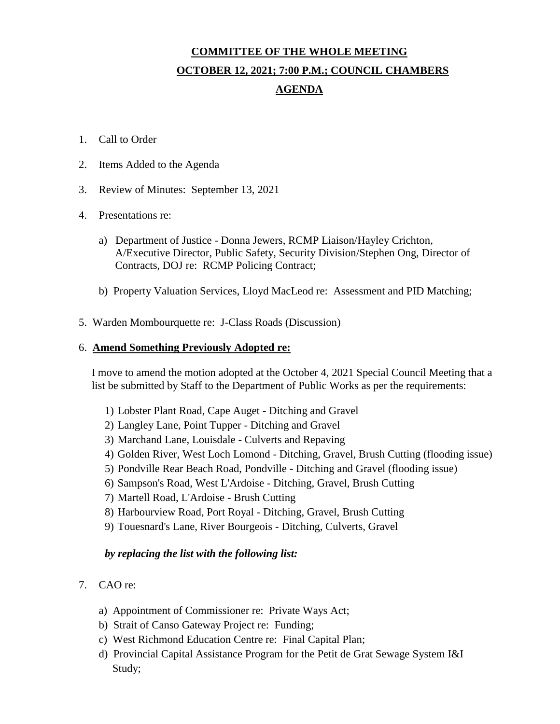## **COMMITTEE OF THE WHOLE MEETING OCTOBER 12, 2021; 7:00 P.M.; COUNCIL CHAMBERS AGENDA**

- 1. Call to Order
- 2. Items Added to the Agenda
- 3. Review of Minutes: September 13, 2021
- 4. Presentations re:
	- a) Department of Justice Donna Jewers, RCMP Liaison/Hayley Crichton, A/Executive Director, Public Safety, Security Division/Stephen Ong, Director of Contracts, DOJ re: RCMP Policing Contract;
	- b) Property Valuation Services, Lloyd MacLeod re: Assessment and PID Matching;
- 5. Warden Mombourquette re: J-Class Roads (Discussion)

## 6. **Amend Something Previously Adopted re:**

I move to amend the motion adopted at the October 4, 2021 Special Council Meeting that a list be submitted by Staff to the Department of Public Works as per the requirements:

- 1) Lobster Plant Road, Cape Auget Ditching and Gravel
- 2) Langley Lane, Point Tupper Ditching and Gravel
- 3) Marchand Lane, Louisdale Culverts and Repaving
- 4) Golden River, West Loch Lomond Ditching, Gravel, Brush Cutting (flooding issue)
- 5) Pondville Rear Beach Road, Pondville Ditching and Gravel (flooding issue)
- 6) Sampson's Road, West L'Ardoise Ditching, Gravel, Brush Cutting
- 7) Martell Road, L'Ardoise Brush Cutting
- 8) Harbourview Road, Port Royal Ditching, Gravel, Brush Cutting
- 9) Touesnard's Lane, River Bourgeois Ditching, Culverts, Gravel

## *by replacing the list with the following list:*

- 7. CAO re:
	- a) Appointment of Commissioner re: Private Ways Act;
	- b) Strait of Canso Gateway Project re: Funding;
	- c) West Richmond Education Centre re: Final Capital Plan;
	- d) Provincial Capital Assistance Program for the Petit de Grat Sewage System I&I Study;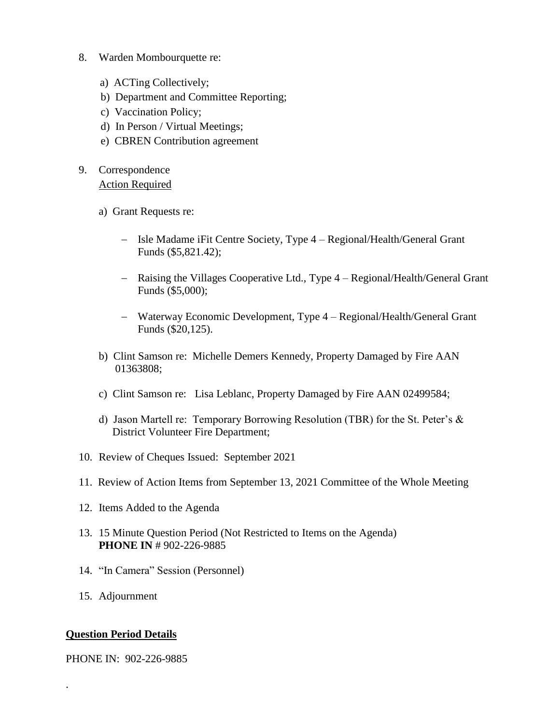- 8. Warden Mombourquette re:
	- a) ACTing Collectively;
	- b) Department and Committee Reporting;
	- c) Vaccination Policy;
	- d) In Person / Virtual Meetings;
	- e) CBREN Contribution agreement
- 9. Correspondence Action Required
	- a) Grant Requests re:
		- Isle Madame iFit Centre Society, Type 4 Regional/Health/General Grant Funds (\$5,821.42);
		- Raising the Villages Cooperative Ltd., Type 4 Regional/Health/General Grant Funds (\$5,000);
		- Waterway Economic Development, Type 4 Regional/Health/General Grant Funds (\$20,125).
	- b) Clint Samson re: Michelle Demers Kennedy, Property Damaged by Fire AAN 01363808;
	- c) Clint Samson re: Lisa Leblanc, Property Damaged by Fire AAN 02499584;
	- d) Jason Martell re: Temporary Borrowing Resolution (TBR) for the St. Peter's & District Volunteer Fire Department;
- 10. Review of Cheques Issued: September 2021
- 11. Review of Action Items from September 13, 2021 Committee of the Whole Meeting
- 12. Items Added to the Agenda
- 13. 15 Minute Question Period (Not Restricted to Items on the Agenda) **PHONE IN** # 902-226-9885
- 14. "In Camera" Session (Personnel)
- 15. Adjournment

## **Question Period Details**

.

PHONE IN: 902-226-9885